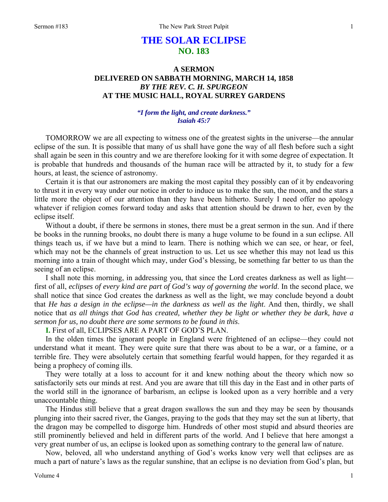# **THE SOLAR ECLIPSE NO. 183**

## **A SERMON DELIVERED ON SABBATH MORNING, MARCH 14, 1858**  *BY THE REV. C. H. SPURGEON*  **AT THE MUSIC HALL, ROYAL SURREY GARDENS**

### *"I form the light, and create darkness." Isaiah 45:7*

TOMORROW we are all expecting to witness one of the greatest sights in the universe—the annular eclipse of the sun. It is possible that many of us shall have gone the way of all flesh before such a sight shall again be seen in this country and we are therefore looking for it with some degree of expectation. It is probable that hundreds and thousands of the human race will be attracted by it, to study for a few hours, at least, the science of astronomy.

Certain it is that our astronomers are making the most capital they possibly can of it by endeavoring to thrust it in every way under our notice in order to induce us to make the sun, the moon, and the stars a little more the object of our attention than they have been hitherto. Surely I need offer no apology whatever if religion comes forward today and asks that attention should be drawn to her, even by the eclipse itself.

Without a doubt, if there be sermons in stones, there must be a great sermon in the sun. And if there be books in the running brooks, no doubt there is many a huge volume to be found in a sun eclipse. All things teach us, if we have but a mind to learn. There is nothing which we can see, or hear, or feel, which may not be the channels of great instruction to us. Let us see whether this may not lead us this morning into a train of thought which may, under God's blessing, be something far better to us than the seeing of an eclipse.

I shall note this morning, in addressing you, that since the Lord creates darkness as well as light first of all, *eclipses of every kind are part of God's way of governing the world*. In the second place, we shall notice that since God creates the darkness as well as the light, we may conclude beyond a doubt that *He has a design in the eclipse—in the darkness as well as the light*. And then, thirdly, we shall notice that *as all things that God has created, whether they be light or whether they be dark, have a sermon for us, no doubt there are some sermons to be found in this*.

**I.** First of all, ECLIPSES ARE A PART OF GOD'S PLAN.

In the olden times the ignorant people in England were frightened of an eclipse—they could not understand what it meant. They were quite sure that there was about to be a war, or a famine, or a terrible fire. They were absolutely certain that something fearful would happen, for they regarded it as being a prophecy of coming ills.

They were totally at a loss to account for it and knew nothing about the theory which now so satisfactorily sets our minds at rest. And you are aware that till this day in the East and in other parts of the world still in the ignorance of barbarism, an eclipse is looked upon as a very horrible and a very unaccountable thing.

The Hindus still believe that a great dragon swallows the sun and they may be seen by thousands plunging into their sacred river, the Ganges, praying to the gods that they may set the sun at liberty, that the dragon may be compelled to disgorge him. Hundreds of other most stupid and absurd theories are still prominently believed and held in different parts of the world. And I believe that here amongst a very great number of us, an eclipse is looked upon as something contrary to the general law of nature.

Now, beloved, all who understand anything of God's works know very well that eclipses are as much a part of nature's laws as the regular sunshine, that an eclipse is no deviation from God's plan, but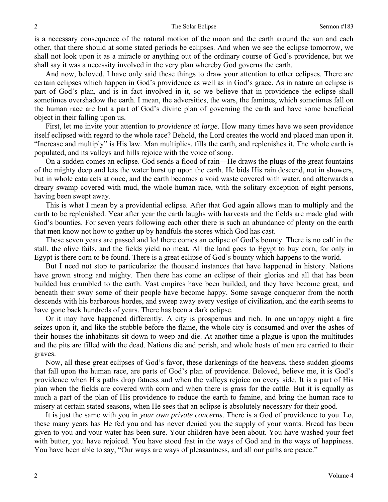is a necessary consequence of the natural motion of the moon and the earth around the sun and each other, that there should at some stated periods be eclipses. And when we see the eclipse tomorrow, we shall not look upon it as a miracle or anything out of the ordinary course of God's providence, but we shall say it was a necessity involved in the very plan whereby God governs the earth.

And now, beloved, I have only said these things to draw your attention to other eclipses. There are certain eclipses which happen in God's providence as well as in God's grace. As in nature an eclipse is part of God's plan, and is in fact involved in it, so we believe that in providence the eclipse shall sometimes overshadow the earth. I mean, the adversities, the wars, the famines, which sometimes fall on the human race are but a part of God's divine plan of governing the earth and have some beneficial object in their falling upon us.

First, let me invite your attention to *providence at large*. How many times have we seen providence itself eclipsed with regard to the whole race? Behold, the Lord creates the world and placed man upon it. "Increase and multiply" is His law. Man multiplies, fills the earth, and replenishes it. The whole earth is populated, and its valleys and hills rejoice with the voice of song.

On a sudden comes an eclipse. God sends a flood of rain—He draws the plugs of the great fountains of the mighty deep and lets the water burst up upon the earth. He bids His rain descend, not in showers, but in whole cataracts at once, and the earth becomes a void waste covered with water, and afterwards a dreary swamp covered with mud, the whole human race, with the solitary exception of eight persons, having been swept away.

This is what I mean by a providential eclipse. After that God again allows man to multiply and the earth to be replenished. Year after year the earth laughs with harvests and the fields are made glad with God's bounties. For seven years following each other there is such an abundance of plenty on the earth that men know not how to gather up by handfuls the stores which God has cast.

These seven years are passed and lo! there comes an eclipse of God's bounty. There is no calf in the stall, the olive fails, and the fields yield no meat. All the land goes to Egypt to buy corn, for only in Egypt is there corn to be found. There is a great eclipse of God's bounty which happens to the world.

But I need not stop to particularize the thousand instances that have happened in history. Nations have grown strong and mighty. Then there has come an eclipse of their glories and all that has been builded has crumbled to the earth. Vast empires have been builded, and they have become great, and beneath their sway some of their people have become happy. Some savage conqueror from the north descends with his barbarous hordes, and sweep away every vestige of civilization, and the earth seems to have gone back hundreds of years. There has been a dark eclipse.

Or it may have happened differently. A city is prosperous and rich. In one unhappy night a fire seizes upon it, and like the stubble before the flame, the whole city is consumed and over the ashes of their houses the inhabitants sit down to weep and die. At another time a plague is upon the multitudes and the pits are filled with the dead. Nations die and perish, and whole hosts of men are carried to their graves.

Now, all these great eclipses of God's favor, these darkenings of the heavens, these sudden glooms that fall upon the human race, are parts of God's plan of providence. Beloved, believe me, it is God's providence when His paths drop fatness and when the valleys rejoice on every side. It is a part of His plan when the fields are covered with corn and when there is grass for the cattle. But it is equally as much a part of the plan of His providence to reduce the earth to famine, and bring the human race to misery at certain stated seasons, when He sees that an eclipse is absolutely necessary for their good.

It is just the same with you in *your own private concerns*. There is a God of providence to you. Lo, these many years has He fed you and has never denied you the supply of your wants. Bread has been given to you and your water has been sure. Your children have been about. You have washed your feet with butter, you have rejoiced. You have stood fast in the ways of God and in the ways of happiness. You have been able to say, "Our ways are ways of pleasantness, and all our paths are peace."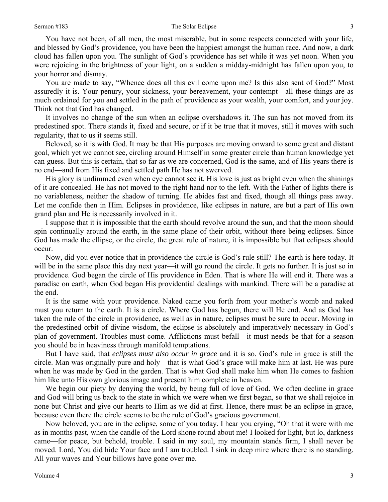You have not been, of all men, the most miserable, but in some respects connected with your life, and blessed by God's providence, you have been the happiest amongst the human race. And now, a dark cloud has fallen upon you. The sunlight of God's providence has set while it was yet noon. When you were rejoicing in the brightness of your light, on a sudden a midday-midnight has fallen upon you, to your horror and dismay.

You are made to say, "Whence does all this evil come upon me? Is this also sent of God?" Most assuredly it is. Your penury, your sickness, your bereavement, your contempt—all these things are as much ordained for you and settled in the path of providence as your wealth, your comfort, and your joy. Think not that God has changed.

It involves no change of the sun when an eclipse overshadows it. The sun has not moved from its predestined spot. There stands it, fixed and secure, or if it be true that it moves, still it moves with such regularity, that to us it seems still.

Beloved, so it is with God. It may be that His purposes are moving onward to some great and distant goal, which yet we cannot see, circling around Himself in some greater circle than human knowledge yet can guess. But this is certain, that so far as we are concerned, God is the same, and of His years there is no end—and from His fixed and settled path He has not swerved.

His glory is undimmed even when eye cannot see it. His love is just as bright even when the shinings of it are concealed. He has not moved to the right hand nor to the left. With the Father of lights there is no variableness, neither the shadow of turning. He abides fast and fixed, though all things pass away. Let me confide then in Him. Eclipses in providence, like eclipses in nature, are but a part of His own grand plan and He is necessarily involved in it.

I suppose that it is impossible that the earth should revolve around the sun, and that the moon should spin continually around the earth, in the same plane of their orbit, without there being eclipses. Since God has made the ellipse, or the circle, the great rule of nature, it is impossible but that eclipses should occur.

Now, did you ever notice that in providence the circle is God's rule still? The earth is here today. It will be in the same place this day next year—it will go round the circle. It gets no further. It is just so in providence. God began the circle of His providence in Eden. That is where He will end it. There was a paradise on earth, when God began His providential dealings with mankind. There will be a paradise at the end.

It is the same with your providence. Naked came you forth from your mother's womb and naked must you return to the earth. It is a circle. Where God has begun, there will He end. And as God has taken the rule of the circle in providence, as well as in nature, eclipses must be sure to occur. Moving in the predestined orbit of divine wisdom, the eclipse is absolutely and imperatively necessary in God's plan of government. Troubles must come. Afflictions must befall—it must needs be that for a season you should be in heaviness through manifold temptations.

But I have said, that *eclipses must also occur in grace* and it is so. God's rule in grace is still the circle. Man was originally pure and holy—that is what God's grace will make him at last. He was pure when he was made by God in the garden. That is what God shall make him when He comes to fashion him like unto His own glorious image and present him complete in heaven.

We begin our piety by denying the world, by being full of love of God. We often decline in grace and God will bring us back to the state in which we were when we first began, so that we shall rejoice in none but Christ and give our hearts to Him as we did at first. Hence, there must be an eclipse in grace, because even there the circle seems to be the rule of God's gracious government.

Now beloved, you are in the eclipse, some of you today. I hear you crying, "Oh that it were with me as in months past, when the candle of the Lord shone round about me! I looked for light, but lo, darkness came—for peace, but behold, trouble. I said in my soul, my mountain stands firm, I shall never be moved. Lord, You did hide Your face and I am troubled. I sink in deep mire where there is no standing. All your waves and Your billows have gone over me.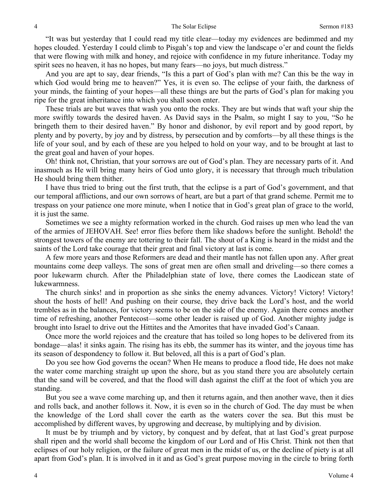"It was but yesterday that I could read my title clear—today my evidences are bedimmed and my hopes clouded. Yesterday I could climb to Pisgah's top and view the landscape o'er and count the fields that were flowing with milk and honey, and rejoice with confidence in my future inheritance. Today my spirit sees no heaven, it has no hopes, but many fears—no joys, but much distress."

And you are apt to say, dear friends, "Is this a part of God's plan with me? Can this be the way in which God would bring me to heaven?" Yes, it is even so. The eclipse of your faith, the darkness of your minds, the fainting of your hopes—all these things are but the parts of God's plan for making you ripe for the great inheritance into which you shall soon enter.

These trials are but waves that wash you onto the rocks. They are but winds that waft your ship the more swiftly towards the desired haven. As David says in the Psalm, so might I say to you, "So he bringeth them to their desired haven." By honor and dishonor, by evil report and by good report, by plenty and by poverty, by joy and by distress, by persecution and by comforts—by all these things is the life of your soul, and by each of these are you helped to hold on your way, and to be brought at last to the great goal and haven of your hopes.

Oh! think not, Christian, that your sorrows are out of God's plan. They are necessary parts of it. And inasmuch as He will bring many heirs of God unto glory, it is necessary that through much tribulation He should bring them thither.

I have thus tried to bring out the first truth, that the eclipse is a part of God's government, and that our temporal afflictions, and our own sorrows of heart, are but a part of that grand scheme. Permit me to trespass on your patience one more minute, when I notice that in God's great plan of grace to the world, it is just the same.

Sometimes we see a mighty reformation worked in the church. God raises up men who lead the van of the armies of JEHOVAH. See! error flies before them like shadows before the sunlight. Behold! the strongest towers of the enemy are tottering to their fall. The shout of a King is heard in the midst and the saints of the Lord take courage that their great and final victory at last is come.

A few more years and those Reformers are dead and their mantle has not fallen upon any. After great mountains come deep valleys. The sons of great men are often small and driveling—so there comes a poor lukewarm church. After the Philadelphian state of love, there comes the Laodicean state of lukewarmness.

The church sinks! and in proportion as she sinks the enemy advances. Victory! Victory! Victory! shout the hosts of hell! And pushing on their course, they drive back the Lord's host, and the world trembles as in the balances, for victory seems to be on the side of the enemy. Again there comes another time of refreshing, another Pentecost—some other leader is raised up of God. Another mighty judge is brought into Israel to drive out the Hittites and the Amorites that have invaded God's Canaan.

Once more the world rejoices and the creature that has toiled so long hopes to be delivered from its bondage—alas! it sinks again. The rising has its ebb, the summer has its winter, and the joyous time has its season of despondency to follow it. But beloved, all this is a part of God's plan.

Do you see how God governs the ocean? When He means to produce a flood tide, He does not make the water come marching straight up upon the shore, but as you stand there you are absolutely certain that the sand will be covered, and that the flood will dash against the cliff at the foot of which you are standing.

But you see a wave come marching up, and then it returns again, and then another wave, then it dies and rolls back, and another follows it. Now, it is even so in the church of God. The day must be when the knowledge of the Lord shall cover the earth as the waters cover the sea. But this must be accomplished by different waves, by upgrowing and decrease, by multiplying and by division.

It must be by triumph and by victory, by conquest and by defeat, that at last God's great purpose shall ripen and the world shall become the kingdom of our Lord and of His Christ. Think not then that eclipses of our holy religion, or the failure of great men in the midst of us, or the decline of piety is at all apart from God's plan. It is involved in it and as God's great purpose moving in the circle to bring forth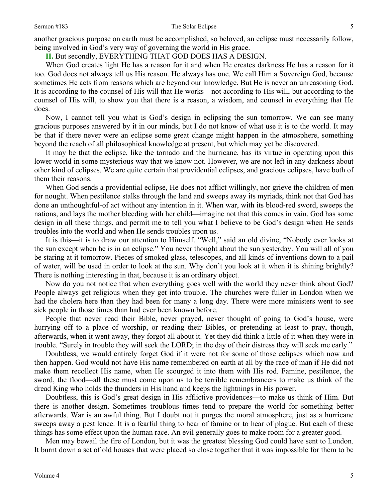#### Sermon #183 The Solar Eclipse

another gracious purpose on earth must be accomplished, so beloved, an eclipse must necessarily follow, being involved in God's very way of governing the world in His grace.

**II.** But secondly, EVERYTHING THAT GOD DOES HAS A DESIGN.

When God creates light He has a reason for it and when He creates darkness He has a reason for it too. God does not always tell us His reason. He always has one. We call Him a Sovereign God, because sometimes He acts from reasons which are beyond our knowledge. But He is never an unreasoning God. It is according to the counsel of His will that He works—not according to His will, but according to the counsel of His will, to show you that there is a reason, a wisdom, and counsel in everything that He does.

Now, I cannot tell you what is God's design in eclipsing the sun tomorrow. We can see many gracious purposes answered by it in our minds, but I do not know of what use it is to the world. It may be that if there never were an eclipse some great change might happen in the atmosphere, something beyond the reach of all philosophical knowledge at present, but which may yet be discovered.

It may be that the eclipse, like the tornado and the hurricane, has its virtue in operating upon this lower world in some mysterious way that we know not. However, we are not left in any darkness about other kind of eclipses. We are quite certain that providential eclipses, and gracious eclipses, have both of them their reasons.

When God sends a providential eclipse, He does not afflict willingly, nor grieve the children of men for nought. When pestilence stalks through the land and sweeps away its myriads, think not that God has done an unthoughtful-of act without any intention in it. When war, with its blood-red sword, sweeps the nations, and lays the mother bleeding with her child—imagine not that this comes in vain. God has some design in all these things, and permit me to tell you what I believe to be God's design when He sends troubles into the world and when He sends troubles upon us.

It is this—it is to draw our attention to Himself. "Well," said an old divine, "Nobody ever looks at the sun except when he is in an eclipse." You never thought about the sun yesterday. You will all of you be staring at it tomorrow. Pieces of smoked glass, telescopes, and all kinds of inventions down to a pail of water, will be used in order to look at the sun. Why don't you look at it when it is shining brightly? There is nothing interesting in that, because it is an ordinary object.

Now do you not notice that when everything goes well with the world they never think about God? People always get religious when they get into trouble. The churches were fuller in London when we had the cholera here than they had been for many a long day. There were more ministers went to see sick people in those times than had ever been known before.

People that never read their Bible, never prayed, never thought of going to God's house, were hurrying off to a place of worship, or reading their Bibles, or pretending at least to pray, though, afterwards, when it went away, they forgot all about it. Yet they did think a little of it when they were in trouble. "Surely in trouble they will seek the LORD; in the day of their distress they will seek me early."

Doubtless, we would entirely forget God if it were not for some of those eclipses which now and then happen. God would not have His name remembered on earth at all by the race of man if He did not make them recollect His name, when He scourged it into them with His rod. Famine, pestilence, the sword, the flood—all these must come upon us to be terrible remembrancers to make us think of the dread King who holds the thunders in His hand and keeps the lightnings in His power.

Doubtless, this is God's great design in His afflictive providences—to make us think of Him. But there is another design. Sometimes troublous times tend to prepare the world for something better afterwards. War is an awful thing. But I doubt not it purges the moral atmosphere, just as a hurricane sweeps away a pestilence. It is a fearful thing to hear of famine or to hear of plague. But each of these things has some effect upon the human race. An evil generally goes to make room for a greater good.

Men may bewail the fire of London, but it was the greatest blessing God could have sent to London. It burnt down a set of old houses that were placed so close together that it was impossible for them to be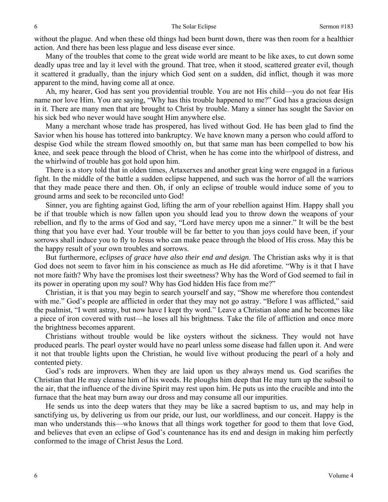without the plague. And when these old things had been burnt down, there was then room for a healthier action. And there has been less plague and less disease ever since.

Many of the troubles that come to the great wide world are meant to be like axes, to cut down some deadly upas tree and lay it level with the ground. That tree, when it stood, scattered greater evil, though it scattered it gradually, than the injury which God sent on a sudden, did inflict, though it was more apparent to the mind, having come all at once.

Ah, my hearer, God has sent you providential trouble. You are not His child—you do not fear His name nor love Him. You are saying, "Why has this trouble happened to me?" God has a gracious design in it. There are many men that are brought to Christ by trouble. Many a sinner has sought the Savior on his sick bed who never would have sought Him anywhere else.

Many a merchant whose trade has prospered, has lived without God. He has been glad to find the Savior when his house has tottered into bankruptcy. We have known many a person who could afford to despise God while the stream flowed smoothly on, but that same man has been compelled to bow his knee, and seek peace through the blood of Christ, when he has come into the whirlpool of distress, and the whirlwind of trouble has got hold upon him.

There is a story told that in olden times, Artaxerxes and another great king were engaged in a furious fight. In the middle of the battle a sudden eclipse happened, and such was the horror of all the warriors that they made peace there and then. Oh, if only an eclipse of trouble would induce some of you to ground arms and seek to be reconciled unto God!

Sinner, you are fighting against God, lifting the arm of your rebellion against Him. Happy shall you be if that trouble which is now fallen upon you should lead you to throw down the weapons of your rebellion, and fly to the arms of God and say, "Lord have mercy upon me a sinner." It will be the best thing that you have ever had. Your trouble will be far better to you than joys could have been, if your sorrows shall induce you to fly to Jesus who can make peace through the blood of His cross. May this be the happy result of your own troubles and sorrows.

But furthermore, *eclipses of grace have also their end and design*. The Christian asks why it is that God does not seem to favor him in his conscience as much as He did aforetime. "Why is it that I have not more faith? Why have the promises lost their sweetness? Why has the Word of God seemed to fail in its power in operating upon my soul? Why has God hidden His face from me?"

Christian, it is that you may begin to search yourself and say, "Show me wherefore thou contendest with me." God's people are afflicted in order that they may not go astray. "Before I was afflicted," said the psalmist, "I went astray, but now have I kept thy word." Leave a Christian alone and he becomes like a piece of iron covered with rust—he loses all his brightness. Take the file of affliction and once more the brightness becomes apparent.

Christians without trouble would be like oysters without the sickness. They would not have produced pearls. The pearl oyster would have no pearl unless some disease had fallen upon it. And were it not that trouble lights upon the Christian, he would live without producing the pearl of a holy and contented piety.

God's rods are improvers. When they are laid upon us they always mend us. God scarifies the Christian that He may cleanse him of his weeds. He ploughs him deep that He may turn up the subsoil to the air, that the influence of the divine Spirit may rest upon him. He puts us into the crucible and into the furnace that the heat may burn away our dross and may consume all our impurities.

He sends us into the deep waters that they may be like a sacred baptism to us, and may help in sanctifying us, by delivering us from our pride, our lust, our worldliness, and our conceit. Happy is the man who understands this—who knows that all things work together for good to them that love God, and believes that even an eclipse of God's countenance has its end and design in making him perfectly conformed to the image of Christ Jesus the Lord.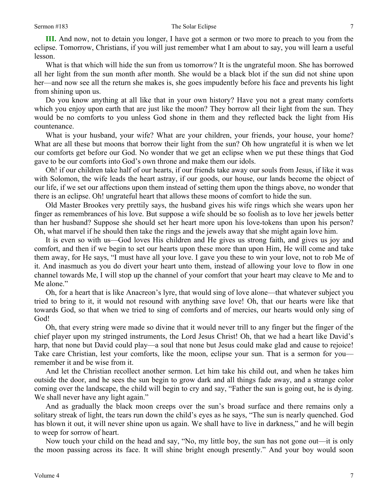**III.** And now, not to detain you longer, I have got a sermon or two more to preach to you from the eclipse. Tomorrow, Christians, if you will just remember what I am about to say, you will learn a useful lesson.

What is that which will hide the sun from us tomorrow? It is the ungrateful moon. She has borrowed all her light from the sun month after month. She would be a black blot if the sun did not shine upon her—and now see all the return she makes is, she goes impudently before his face and prevents his light from shining upon us.

Do you know anything at all like that in your own history? Have you not a great many comforts which you enjoy upon earth that are just like the moon? They borrow all their light from the sun. They would be no comforts to you unless God shone in them and they reflected back the light from His countenance.

What is your husband, your wife? What are your children, your friends, your house, your home? What are all these but moons that borrow their light from the sun? Oh how ungrateful it is when we let our comforts get before our God. No wonder that we get an eclipse when we put these things that God gave to be our comforts into God's own throne and make them our idols.

Oh! if our children take half of our hearts, if our friends take away our souls from Jesus, if like it was with Solomon, the wife leads the heart astray, if our goods, our house, our lands become the object of our life, if we set our affections upon them instead of setting them upon the things above, no wonder that there is an eclipse. Oh! ungrateful heart that allows these moons of comfort to hide the sun.

Old Master Brookes very prettily says, the husband gives his wife rings which she wears upon her finger as remembrances of his love. But suppose a wife should be so foolish as to love her jewels better than her husband? Suppose she should set her heart more upon his love-tokens than upon his person? Oh, what marvel if he should then take the rings and the jewels away that she might again love him.

It is even so with us—God loves His children and He gives us strong faith, and gives us joy and comfort, and then if we begin to set our hearts upon these more than upon Him, He will come and take them away, for He says, "I must have all your love. I gave you these to win your love, not to rob Me of it. And inasmuch as you do divert your heart unto them, instead of allowing your love to flow in one channel towards Me, I will stop up the channel of your comfort that your heart may cleave to Me and to Me alone."

Oh, for a heart that is like Anacreon's lyre, that would sing of love alone—that whatever subject you tried to bring to it, it would not resound with anything save love! Oh, that our hearts were like that towards God, so that when we tried to sing of comforts and of mercies, our hearts would only sing of God!

Oh, that every string were made so divine that it would never trill to any finger but the finger of the chief player upon my stringed instruments, the Lord Jesus Christ! Oh, that we had a heart like David's harp, that none but David could play—a soul that none but Jesus could make glad and cause to rejoice! Take care Christian, lest your comforts, like the moon, eclipse your sun. That is a sermon for you remember it and be wise from it.

And let the Christian recollect another sermon. Let him take his child out, and when he takes him outside the door, and he sees the sun begin to grow dark and all things fade away, and a strange color coming over the landscape, the child will begin to cry and say, "Father the sun is going out, he is dying. We shall never have any light again."

And as gradually the black moon creeps over the sun's broad surface and there remains only a solitary streak of light, the tears run down the child's eyes as he says, "The sun is nearly quenched. God has blown it out, it will never shine upon us again. We shall have to live in darkness," and he will begin to weep for sorrow of heart.

Now touch your child on the head and say, "No, my little boy, the sun has not gone out—it is only the moon passing across its face. It will shine bright enough presently." And your boy would soon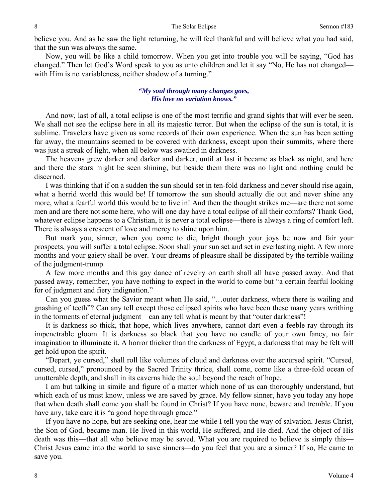believe you. And as he saw the light returning, he will feel thankful and will believe what you had said, that the sun was always the same.

Now, you will be like a child tomorrow. When you get into trouble you will be saying, "God has changed." Then let God's Word speak to you as unto children and let it say "No, He has not changed with Him is no variableness, neither shadow of a turning."

### *"My soul through many changes goes, His love no variation knows."*

And now, last of all, a total eclipse is one of the most terrific and grand sights that will ever be seen. We shall not see the eclipse here in all its majestic terror. But when the eclipse of the sun is total, it is sublime. Travelers have given us some records of their own experience. When the sun has been setting far away, the mountains seemed to be covered with darkness, except upon their summits, where there was just a streak of light, when all below was swathed in darkness.

The heavens grew darker and darker and darker, until at last it became as black as night, and here and there the stars might be seen shining, but beside them there was no light and nothing could be discerned.

I was thinking that if on a sudden the sun should set in ten-fold darkness and never should rise again, what a horrid world this would be! If tomorrow the sun should actually die out and never shine any more, what a fearful world this would be to live in! And then the thought strikes me—are there not some men and are there not some here, who will one day have a total eclipse of all their comforts? Thank God, whatever eclipse happens to a Christian, it is never a total eclipse—there is always a ring of comfort left. There is always a crescent of love and mercy to shine upon him.

But mark you, sinner, when you come to die, bright though your joys be now and fair your prospects, you will suffer a total eclipse. Soon shall your sun set and set in everlasting night. A few more months and your gaiety shall be over. Your dreams of pleasure shall be dissipated by the terrible wailing of the judgment-trump.

A few more months and this gay dance of revelry on earth shall all have passed away. And that passed away, remember, you have nothing to expect in the world to come but "a certain fearful looking for of judgment and fiery indignation."

Can you guess what the Savior meant when He said, "…outer darkness, where there is wailing and gnashing of teeth"? Can any tell except those eclipsed spirits who have been these many years writhing in the torments of eternal judgment—can any tell what is meant by that "outer darkness"!

It is darkness so thick, that hope, which lives anywhere, cannot dart even a feeble ray through its impenetrable gloom. It is darkness so black that you have no candle of your own fancy, no fair imagination to illuminate it. A horror thicker than the darkness of Egypt, a darkness that may be felt will get hold upon the spirit.

"Depart, ye cursed," shall roll like volumes of cloud and darkness over the accursed spirit. "Cursed, cursed, cursed," pronounced by the Sacred Trinity thrice, shall come, come like a three-fold ocean of unutterable depth, and shall in its caverns hide the soul beyond the reach of hope.

I am but talking in simile and figure of a matter which none of us can thoroughly understand, but which each of us must know, unless we are saved by grace. My fellow sinner, have you today any hope that when death shall come you shall be found in Christ? If you have none, beware and tremble. If you have any, take care it is "a good hope through grace."

If you have no hope, but are seeking one, hear me while I tell you the way of salvation. Jesus Christ, the Son of God, became man. He lived in this world, He suffered, and He died. And the object of His death was this—that all who believe may be saved. What you are required to believe is simply this— Christ Jesus came into the world to save sinners—do you feel that you are a sinner? If so, He came to save you.